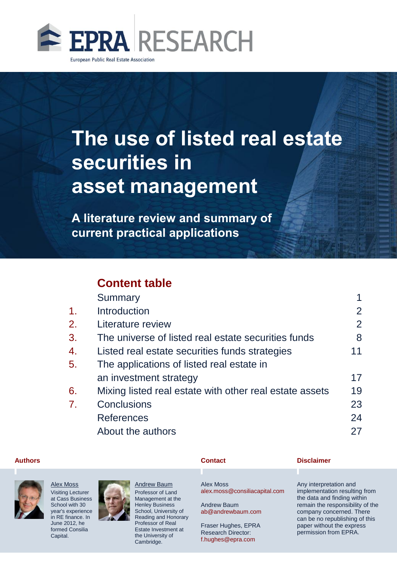

# **The use of listed real estate securities in asset management**

**A literature review and summary of current practical applications**

# **Content table**

|    | Summary                                                 |                           |
|----|---------------------------------------------------------|---------------------------|
| 1. | Introduction                                            | $\mathbf{2}^{\mathsf{I}}$ |
| 2. | Literature review                                       | 2                         |
| 3. | The universe of listed real estate securities funds     | 8                         |
| 4. | Listed real estate securities funds strategies          | 11                        |
| 5. | The applications of listed real estate in               |                           |
|    | an investment strategy                                  | 17                        |
| 6. | Mixing listed real estate with other real estate assets | 19                        |
| 7. | Conclusions                                             | 23                        |
|    | <b>References</b>                                       | 24                        |
|    | About the authors                                       | 27                        |
|    |                                                         |                           |



Alex Moss Visiting Lecturer at Cass Business School with 30 year's experience in RE finance. In June 2012, he formed Consilia Capital.



Andrew Baum Professor of Land Management at the Henley Business School, University of Reading and Honorary Professor of Real Estate Investment at the University of Cambridge.

#### **Contact Authors Disclaimer**

Alex Moss alex.moss@consiliacapital.com

Andrew Baum ab@andrewbaum.com

Fraser Hughes, EPRA Research Director: f.hughes@epra.com

Any interpretation and implementation resulting from the data and finding within remain the responsibility of the company concerned. There can be no republishing of this paper without the express permission from EPRA.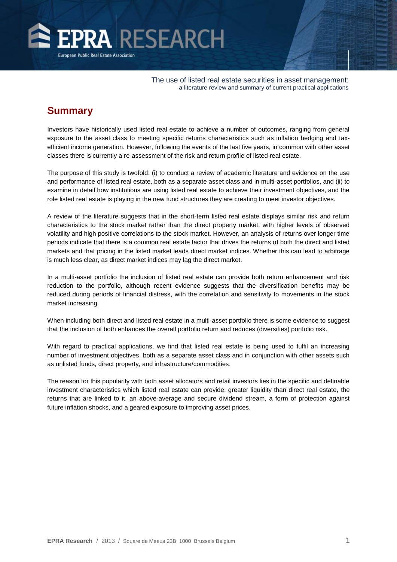<span id="page-1-0"></span>

# **Summary**

Investors have historically used listed real estate to achieve a number of outcomes, ranging from general exposure to the asset class to meeting specific returns characteristics such as inflation hedging and taxefficient income generation. However, following the events of the last five years, in common with other asset classes there is currently a re-assessment of the risk and return profile of listed real estate.

The purpose of this study is twofold: (i) to conduct a review of academic literature and evidence on the use and performance of listed real estate, both as a separate asset class and in multi-asset portfolios, and (ii) to examine in detail how institutions are using listed real estate to achieve their investment objectives, and the role listed real estate is playing in the new fund structures they are creating to meet investor objectives.

A review of the literature suggests that in the short-term listed real estate displays similar risk and return characteristics to the stock market rather than the direct property market, with higher levels of observed volatility and high positive correlations to the stock market. However, an analysis of returns over longer time periods indicate that there is a common real estate factor that drives the returns of both the direct and listed markets and that pricing in the listed market leads direct market indices. Whether this can lead to arbitrage is much less clear, as direct market indices may lag the direct market.

In a multi-asset portfolio the inclusion of listed real estate can provide both return enhancement and risk reduction to the portfolio, although recent evidence suggests that the diversification benefits may be reduced during periods of financial distress, with the correlation and sensitivity to movements in the stock market increasing.

When including both direct and listed real estate in a multi-asset portfolio there is some evidence to suggest that the inclusion of both enhances the overall portfolio return and reduces (diversifies) portfolio risk.

With regard to practical applications, we find that listed real estate is being used to fulfil an increasing number of investment objectives, both as a separate asset class and in conjunction with other assets such as unlisted funds, direct property, and infrastructure/commodities.

The reason for this popularity with both asset allocators and retail investors lies in the specific and definable investment characteristics which listed real estate can provide; greater liquidity than direct real estate, the returns that are linked to it, an above-average and secure dividend stream, a form of protection against future inflation shocks, and a geared exposure to improving asset prices.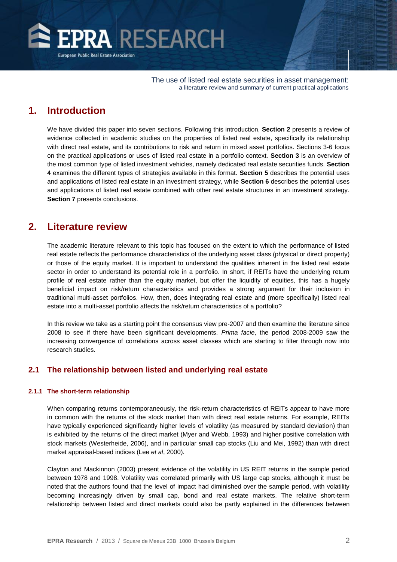<span id="page-2-0"></span>

# **1. Introduction**

We have divided this paper into seven sections. Following this introduction, **Section 2** presents a review of evidence collected in academic studies on the properties of listed real estate, specifically its relationship with direct real estate, and its contributions to risk and return in mixed asset portfolios. Sections 3-6 focus on the practical applications or uses of listed real estate in a portfolio context. **Section 3** is an overview of the most common type of listed investment vehicles, namely dedicated real estate securities funds. **Section 4** examines the different types of strategies available in this format. **Section 5** describes the potential uses and applications of listed real estate in an investment strategy, while **Section 6** describes the potential uses and applications of listed real estate combined with other real estate structures in an investment strategy. **Section 7** presents conclusions.

# **2. Literature review**

The academic literature relevant to this topic has focused on the extent to which the performance of listed real estate reflects the performance characteristics of the underlying asset class (physical or direct property) or those of the equity market. It is important to understand the qualities inherent in the listed real estate sector in order to understand its potential role in a portfolio. In short, if REITs have the underlying return profile of real estate rather than the equity market, but offer the liquidity of equities, this has a hugely beneficial impact on risk/return characteristics and provides a strong argument for their inclusion in traditional multi-asset portfolios. How, then, does integrating real estate and (more specifically) listed real estate into a multi-asset portfolio affects the risk/return characteristics of a portfolio?

In this review we take as a starting point the consensus view pre-2007 and then examine the literature since 2008 to see if there have been significant developments. *Prima facie*, the period 2008-2009 saw the increasing convergence of correlations across asset classes which are starting to filter through now into research studies.

### **2.1 The relationship between listed and underlying real estate**

#### **2.1.1 The short-term relationship**

When comparing returns contemporaneously, the risk-return characteristics of REITs appear to have more in common with the returns of the stock market than with direct real estate returns. For example, REITs have typically experienced significantly higher levels of volatility (as measured by standard deviation) than is exhibited by the returns of the direct market (Myer and Webb, 1993) and higher positive correlation with stock markets (Westerheide, 2006), and in particular small cap stocks (Liu and Mei, 1992) than with direct market appraisal-based indices (Lee *et al*, 2000).

Clayton and Mackinnon (2003) present evidence of the volatility in US REIT returns in the sample period between 1978 and 1998. Volatility was correlated primarily with US large cap stocks, although it must be noted that the authors found that the level of impact had diminished over the sample period, with volatility becoming increasingly driven by small cap, bond and real estate markets. The relative short-term relationship between listed and direct markets could also be partly explained in the differences between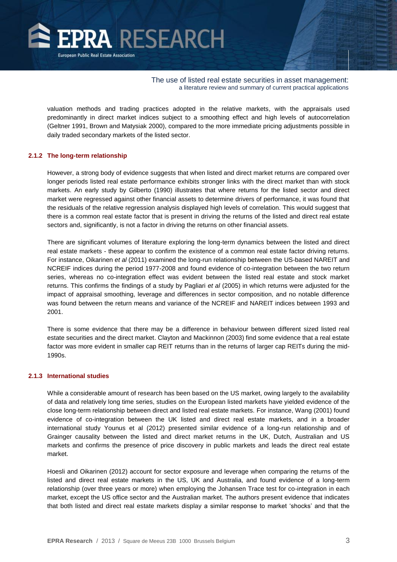

valuation methods and trading practices adopted in the relative markets, with the appraisals used predominantly in direct market indices subject to a smoothing effect and high levels of autocorrelation (Geltner 1991, Brown and Matysiak 2000), compared to the more immediate pricing adjustments possible in daily traded secondary markets of the listed sector.

#### **2.1.2 The long-term relationship**

However, a strong body of evidence suggests that when listed and direct market returns are compared over longer periods listed real estate performance exhibits stronger links with the direct market than with stock markets. An early study by Gilberto (1990) illustrates that where returns for the listed sector and direct market were regressed against other financial assets to determine drivers of performance, it was found that the residuals of the relative regression analysis displayed high levels of correlation. This would suggest that there is a common real estate factor that is present in driving the returns of the listed and direct real estate sectors and, significantly, is not a factor in driving the returns on other financial assets.

There are significant volumes of literature exploring the long-term dynamics between the listed and direct real estate markets - these appear to confirm the existence of a common real estate factor driving returns. For instance, Oikarinen *et al* (2011) examined the long-run relationship between the US-based NAREIT and NCREIF indices during the period 1977-2008 and found evidence of co-integration between the two return series, whereas no co-integration effect was evident between the listed real estate and stock market returns. This confirms the findings of a study by Pagliari *et al* (2005) in which returns were adjusted for the impact of appraisal smoothing, leverage and differences in sector composition, and no notable difference was found between the return means and variance of the NCREIF and NAREIT indices between 1993 and 2001.

There is some evidence that there may be a difference in behaviour between different sized listed real estate securities and the direct market. Clayton and Mackinnon (2003) find some evidence that a real estate factor was more evident in smaller cap REIT returns than in the returns of larger cap REITs during the mid-1990s.

#### **2.1.3 International studies**

While a considerable amount of research has been based on the US market, owing largely to the availability of data and relatively long time series, studies on the European listed markets have yielded evidence of the close long-term relationship between direct and listed real estate markets. For instance, Wang (2001) found evidence of co-integration between the UK listed and direct real estate markets, and in a broader international study Younus et al (2012) presented similar evidence of a long-run relationship and of Grainger causality between the listed and direct market returns in the UK, Dutch, Australian and US markets and confirms the presence of price discovery in public markets and leads the direct real estate market.

Hoesli and Oikarinen (2012) account for sector exposure and leverage when comparing the returns of the listed and direct real estate markets in the US, UK and Australia, and found evidence of a long-term relationship (over three years or more) when employing the Johansen Trace test for co-integration in each market, except the US office sector and the Australian market. The authors present evidence that indicates that both listed and direct real estate markets display a similar response to market 'shocks' and that the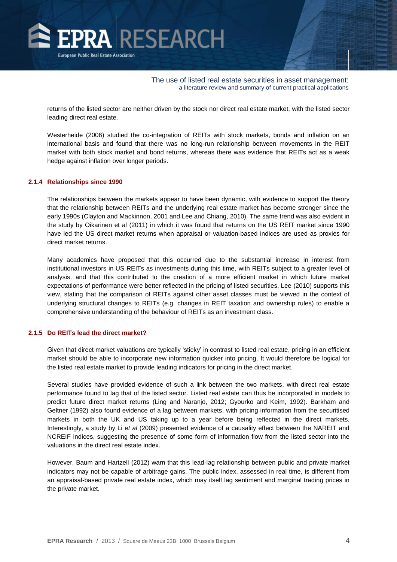

returns of the listed sector are neither driven by the stock nor direct real estate market, with the listed sector leading direct real estate.

Westerheide (2006) studied the co-integration of REITs with stock markets, bonds and inflation on an international basis and found that there was no long-run relationship between movements in the REIT market with both stock market and bond returns, whereas there was evidence that REITs act as a weak hedge against inflation over longer periods.

#### **2.1.4 Relationships since 1990**

The relationships between the markets appear to have been dynamic, with evidence to support the theory that the relationship between REITs and the underlying real estate market has become stronger since the early 1990s (Clayton and Mackinnon, 2001 and Lee and Chiang, 2010). The same trend was also evident in the study by Oikarinen et al (2011) in which it was found that returns on the US REIT market since 1990 have led the US direct market returns when appraisal or valuation-based indices are used as proxies for direct market returns.

Many academics have proposed that this occurred due to the substantial increase in interest from institutional investors in US REITs as investments during this time, with REITs subject to a greater level of analysis. and that this contributed to the creation of a more efficient market in which future market expectations of performance were better reflected in the pricing of listed securities. Lee (2010) supports this view, stating that the comparison of REITs against other asset classes must be viewed in the context of underlying structural changes to REITs (e.g. changes in REIT taxation and ownership rules) to enable a comprehensive understanding of the behaviour of REITs as an investment class.

#### **2.1.5 Do REITs lead the direct market?**

Given that direct market valuations are typically 'sticky' in contrast to listed real estate, pricing in an efficient market should be able to incorporate new information quicker into pricing. It would therefore be logical for the listed real estate market to provide leading indicators for pricing in the direct market.

Several studies have provided evidence of such a link between the two markets, with direct real estate performance found to lag that of the listed sector. Listed real estate can thus be incorporated in models to predict future direct market returns (Ling and Naranjo, 2012; Gyourko and Keim, 1992). Barkham and Geltner (1992) also found evidence of a lag between markets, with pricing information from the securitised markets in both the UK and US taking up to a year before being reflected in the direct markets. Interestingly, a study by Li *et al* (2009) presented evidence of a causality effect between the NAREIT and NCREIF indices, suggesting the presence of some form of information flow from the listed sector into the valuations in the direct real estate index.

However, Baum and Hartzell (2012) warn that this lead-lag relationship between public and private market indicators may not be capable of arbitrage gains. The public index, assessed in real time, is different from an appraisal-based private real estate index, which may itself lag sentiment and marginal trading prices in the private market.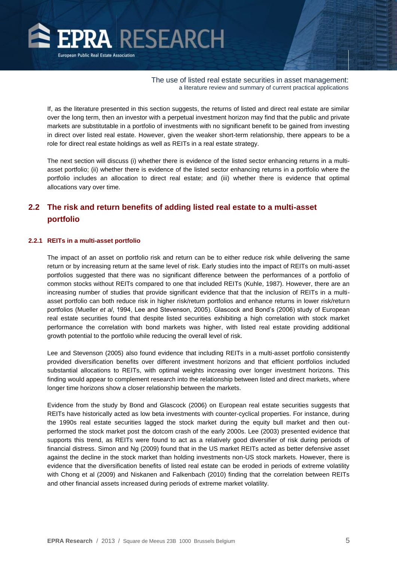

If, as the literature presented in this section suggests, the returns of listed and direct real estate are similar over the long term, then an investor with a perpetual investment horizon may find that the public and private markets are substitutable in a portfolio of investments with no significant benefit to be gained from investing in direct over listed real estate. However, given the weaker short-term relationship, there appears to be a role for direct real estate holdings as well as REITs in a real estate strategy.

The next section will discuss (i) whether there is evidence of the listed sector enhancing returns in a multiasset portfolio; (ii) whether there is evidence of the listed sector enhancing returns in a portfolio where the portfolio includes an allocation to direct real estate; and (iii) whether there is evidence that optimal allocations vary over time.

## **2.2 The risk and return benefits of adding listed real estate to a multi-asset portfolio**

#### **2.2.1 REITs in a multi-asset portfolio**

The impact of an asset on portfolio risk and return can be to either reduce risk while delivering the same return or by increasing return at the same level of risk. Early studies into the impact of REITs on multi-asset portfolios suggested that there was no significant difference between the performances of a portfolio of common stocks without REITs compared to one that included REITs (Kuhle, 1987). However, there are an increasing number of studies that provide significant evidence that that the inclusion of REITs in a multiasset portfolio can both reduce risk in higher risk/return portfolios and enhance returns in lower risk/return portfolios (Mueller *et al*, 1994, Lee and Stevenson, 2005). Glascock and Bond's (2006) study of European real estate securities found that despite listed securities exhibiting a high correlation with stock market performance the correlation with bond markets was higher, with listed real estate providing additional growth potential to the portfolio while reducing the overall level of risk.

Lee and Stevenson (2005) also found evidence that including REITs in a multi-asset portfolio consistently provided diversification benefits over different investment horizons and that efficient portfolios included substantial allocations to REITs, with optimal weights increasing over longer investment horizons. This finding would appear to complement research into the relationship between listed and direct markets, where longer time horizons show a closer relationship between the markets.

Evidence from the study by Bond and Glascock (2006) on European real estate securities suggests that REITs have historically acted as low beta investments with counter-cyclical properties. For instance, during the 1990s real estate securities lagged the stock market during the equity bull market and then outperformed the stock market post the dotcom crash of the early 2000s. Lee (2003) presented evidence that supports this trend, as REITs were found to act as a relatively good diversifier of risk during periods of financial distress. Simon and Ng (2009) found that in the US market REITs acted as better defensive asset against the decline in the stock market than holding investments non-US stock markets. However, there is evidence that the diversification benefits of listed real estate can be eroded in periods of extreme volatility with Chong et al (2009) and Niskanen and Falkenbach (2010) finding that the correlation between REITs and other financial assets increased during periods of extreme market volatility.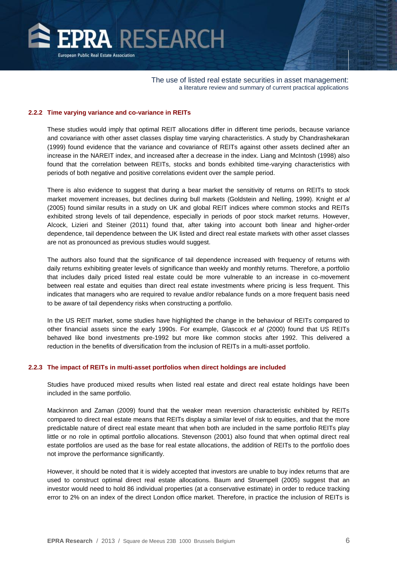

#### **2.2.2 Time varying variance and co-variance in REITs**

These studies would imply that optimal REIT allocations differ in different time periods, because variance and covariance with other asset classes display time varying characteristics. A study by Chandrashekaran (1999) found evidence that the variance and covariance of REITs against other assets declined after an increase in the NAREIT index, and increased after a decrease in the index. Liang and McIntosh (1998) also found that the correlation between REITs, stocks and bonds exhibited time-varying characteristics with periods of both negative and positive correlations evident over the sample period.

There is also evidence to suggest that during a bear market the sensitivity of returns on REITs to stock market movement increases, but declines during bull markets (Goldstein and Nelling, 1999). Knight *et al* (2005) found similar results in a study on UK and global REIT indices where common stocks and REITs exhibited strong levels of tail dependence, especially in periods of poor stock market returns. However, Alcock, Lizieri and Steiner (2011) found that, after taking into account both linear and higher-order dependence, tail dependence between the UK listed and direct real estate markets with other asset classes are not as pronounced as previous studies would suggest.

The authors also found that the significance of tail dependence increased with frequency of returns with daily returns exhibiting greater levels of significance than weekly and monthly returns. Therefore, a portfolio that includes daily priced listed real estate could be more vulnerable to an increase in co-movement between real estate and equities than direct real estate investments where pricing is less frequent. This indicates that managers who are required to revalue and/or rebalance funds on a more frequent basis need to be aware of tail dependency risks when constructing a portfolio.

In the US REIT market, some studies have highlighted the change in the behaviour of REITs compared to other financial assets since the early 1990s. For example, Glascock *et al* (2000) found that US REITs behaved like bond investments pre-1992 but more like common stocks after 1992. This delivered a reduction in the benefits of diversification from the inclusion of REITs in a multi-asset portfolio.

#### **2.2.3 The impact of REITs in multi-asset portfolios when direct holdings are included**

Studies have produced mixed results when listed real estate and direct real estate holdings have been included in the same portfolio.

Mackinnon and Zaman (2009) found that the weaker mean reversion characteristic exhibited by REITs compared to direct real estate means that REITs display a similar level of risk to equities, and that the more predictable nature of direct real estate meant that when both are included in the same portfolio REITs play little or no role in optimal portfolio allocations. Stevenson (2001) also found that when optimal direct real estate portfolios are used as the base for real estate allocations, the addition of REITs to the portfolio does not improve the performance significantly.

However, it should be noted that it is widely accepted that investors are unable to buy index returns that are used to construct optimal direct real estate allocations. Baum and Struempell (2005) suggest that an investor would need to hold 86 individual properties (at a conservative estimate) in order to reduce tracking error to 2% on an index of the direct London office market. Therefore, in practice the inclusion of REITs is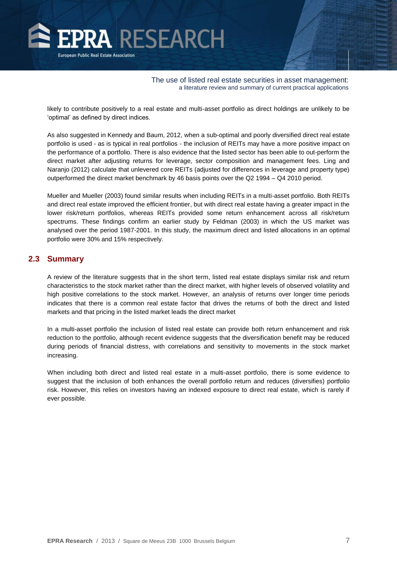

likely to contribute positively to a real estate and multi-asset portfolio as direct holdings are unlikely to be 'optimal' as defined by direct indices.

As also suggested in Kennedy and Baum, 2012, when a sub-optimal and poorly diversified direct real estate portfolio is used - as is typical in real portfolios - the inclusion of REITs may have a more positive impact on the performance of a portfolio. There is also evidence that the listed sector has been able to out-perform the direct market after adjusting returns for leverage, sector composition and management fees. Ling and Naranjo (2012) calculate that unlevered core REITs (adjusted for differences in leverage and property type) outperformed the direct market benchmark by 46 basis points over the Q2 1994 – Q4 2010 period.

Mueller and Mueller (2003) found similar results when including REITs in a multi-asset portfolio. Both REITs and direct real estate improved the efficient frontier, but with direct real estate having a greater impact in the lower risk/return portfolios, whereas REITs provided some return enhancement across all risk/return spectrums. These findings confirm an earlier study by Feldman (2003) in which the US market was analysed over the period 1987-2001. In this study, the maximum direct and listed allocations in an optimal portfolio were 30% and 15% respectively.

#### **2.3 Summary**

A review of the literature suggests that in the short term, listed real estate displays similar risk and return characteristics to the stock market rather than the direct market, with higher levels of observed volatility and high positive correlations to the stock market. However, an analysis of returns over longer time periods indicates that there is a common real estate factor that drives the returns of both the direct and listed markets and that pricing in the listed market leads the direct market

In a multi-asset portfolio the inclusion of listed real estate can provide both return enhancement and risk reduction to the portfolio, although recent evidence suggests that the diversification benefit may be reduced during periods of financial distress, with correlations and sensitivity to movements in the stock market increasing.

When including both direct and listed real estate in a multi-asset portfolio, there is some evidence to suggest that the inclusion of both enhances the overall portfolio return and reduces (diversifies) portfolio risk. However, this relies on investors having an indexed exposure to direct real estate, which is rarely if ever possible.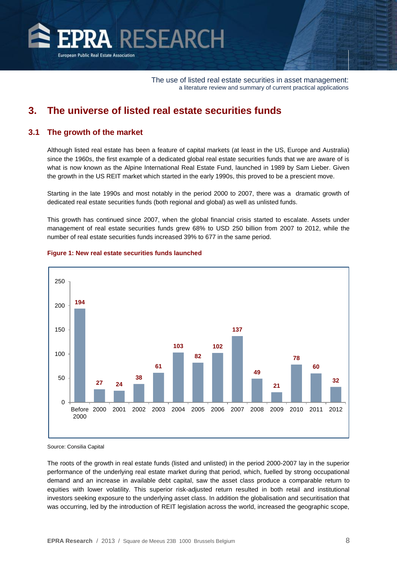<span id="page-8-0"></span>

# **3. The universe of listed real estate securities funds**

#### **3.1 The growth of the market**

Although listed real estate has been a feature of capital markets (at least in the US, Europe and Australia) since the 1960s, the first example of a dedicated global real estate securities funds that we are aware of is what is now known as the Alpine International Real Estate Fund, launched in 1989 by Sam Lieber. Given the growth in the US REIT market which started in the early 1990s, this proved to be a prescient move.

Starting in the late 1990s and most notably in the period 2000 to 2007, there was a dramatic growth of dedicated real estate securities funds (both regional and global) as well as unlisted funds.

This growth has continued since 2007, when the global financial crisis started to escalate. Assets under management of real estate securities funds grew 68% to USD 250 billion from 2007 to 2012, while the number of real estate securities funds increased 39% to 677 in the same period.



#### **Figure 1: New real estate securities funds launched**

Source: Consilia Capital

The roots of the growth in real estate funds (listed and unlisted) in the period 2000-2007 lay in the superior performance of the underlying real estate market during that period, which, fuelled by strong occupational demand and an increase in available debt capital, saw the asset class produce a comparable return to equities with lower volatility. This superior risk-adjusted return resulted in both retail and institutional investors seeking exposure to the underlying asset class. In addition the globalisation and securitisation that was occurring, led by the introduction of REIT legislation across the world, increased the geographic scope,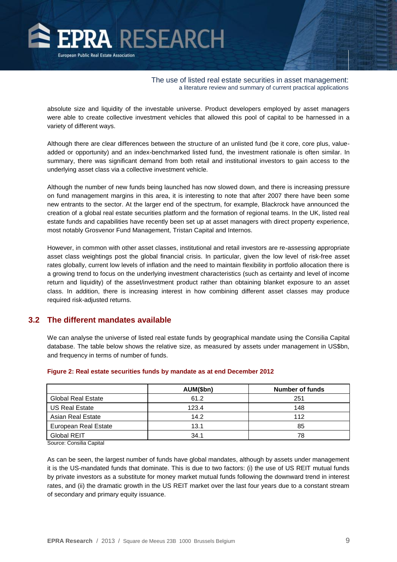

absolute size and liquidity of the investable universe. Product developers employed by asset managers were able to create collective investment vehicles that allowed this pool of capital to be harnessed in a variety of different ways.

Although there are clear differences between the structure of an unlisted fund (be it core, core plus, valueadded or opportunity) and an index-benchmarked listed fund, the investment rationale is often similar. In summary, there was significant demand from both retail and institutional investors to gain access to the underlying asset class via a collective investment vehicle.

Although the number of new funds being launched has now slowed down, and there is increasing pressure on fund management margins in this area, it is interesting to note that after 2007 there have been some new entrants to the sector. At the larger end of the spectrum, for example, Blackrock have announced the creation of a global real estate securities platform and the formation of regional teams. In the UK, listed real estate funds and capabilities have recently been set up at asset managers with direct property experience, most notably Grosvenor Fund Management, Tristan Capital and Internos.

However, in common with other asset classes, institutional and retail investors are re-assessing appropriate asset class weightings post the global financial crisis. In particular, given the low level of risk-free asset rates globally, current low levels of inflation and the need to maintain flexibility in portfolio allocation there is a growing trend to focus on the underlying investment characteristics (such as certainty and level of income return and liquidity) of the asset/investment product rather than obtaining blanket exposure to an asset class. In addition, there is increasing interest in how combining different asset classes may produce required risk-adjusted returns.

#### **3.2 The different mandates available**

We can analyse the universe of listed real estate funds by geographical mandate using the Consilia Capital database. The table below shows the relative size, as measured by assets under management in US\$bn, and frequency in terms of number of funds.

|                           | AUM(\$bn) | Number of funds |
|---------------------------|-----------|-----------------|
| <b>Global Real Estate</b> | 61.2      | 251             |
| US Real Estate            | 123.4     | 148             |
| Asian Real Estate         | 14.2      | 112             |
| European Real Estate      | 13.1      | 85              |
| <b>Global REIT</b>        | 34.1      | 78              |

#### **Figure 2: Real estate securities funds by mandate as at end December 2012**

Source: Consilia Capital

As can be seen, the largest number of funds have global mandates, although by assets under management it is the US-mandated funds that dominate. This is due to two factors: (i) the use of US REIT mutual funds by private investors as a substitute for money market mutual funds following the downward trend in interest rates, and (ii) the dramatic growth in the US REIT market over the last four years due to a constant stream of secondary and primary equity issuance.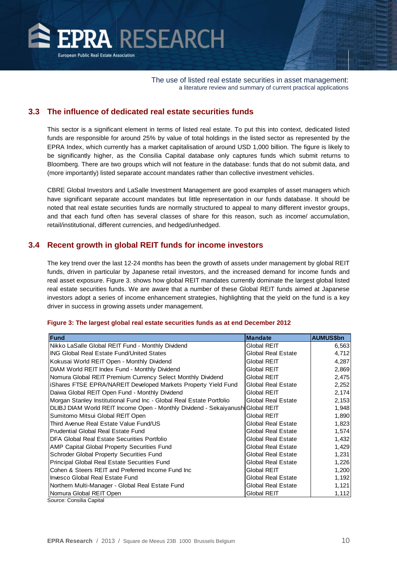

### **3.3 The influence of dedicated real estate securities funds**

This sector is a significant element in terms of listed real estate. To put this into context, dedicated listed funds are responsible for around 25% by value of total holdings in the listed sector as represented by the EPRA Index, which currently has a market capitalisation of around USD 1,000 billion. The figure is likely to be significantly higher, as the Consilia Capital database only captures funds which submit returns to Bloomberg. There are two groups which will not feature in the database: funds that do not submit data, and (more importantly) listed separate account mandates rather than collective investment vehicles.

CBRE Global Investors and LaSalle Investment Management are good examples of asset managers which have significant separate account mandates but little representation in our funds database. It should be noted that real estate securities funds are normally structured to appeal to many different investor groups, and that each fund often has several classes of share for this reason, such as income/ accumulation, retail/institutional, different currencies, and hedged/unhedged.

#### **3.4 Recent growth in global REIT funds for income investors**

The key trend over the last 12-24 months has been the growth of assets under management by global REIT funds, driven in particular by Japanese retail investors, and the increased demand for income funds and real asset exposure. Figure 3. shows how global REIT mandates currently dominate the largest global listed real estate securities funds. We are aware that a number of these Global REIT funds aimed at Japanese investors adopt a series of income enhancement strategies, highlighting that the yield on the fund is a key driver in success in growing assets under management.

#### **Figure 3: The largest global real estate securities funds as at end December 2012**

| <b>Fund</b>                                                                     | <b>Mandate</b>     | <b>AUMUS\$bn</b> |
|---------------------------------------------------------------------------------|--------------------|------------------|
| Nikko LaSalle Global REIT Fund - Monthly Dividend                               | Global REIT        | 6,563            |
| ING Global Real Estate Fund/United States                                       | Global Real Estate | 4,712            |
| Kokusai World REIT Open - Monthly Dividend                                      | Global REIT        | 4,287            |
| DIAM World REIT Index Fund - Monthly Dividend                                   | Global REIT        | 2,869            |
| Nomura Global REIT Premium Currency Select Monthly Dividend                     | Global REIT        | 2,475            |
| iShares FTSE EPRA/NAREIT Developed Markets Property Yield Fund                  | Global Real Estate | 2,252            |
| Daiwa Global REIT Open Fund - Monthly Dividend                                  | Global REIT        | 2,174            |
| Morgan Stanley Institutional Fund Inc - Global Real Estate Portfolio            | Global Real Estate | 2,153            |
| DLIBJ DIAM World REIT Income Open - Monthly Dividend - Sekaiyanushi Global REIT |                    | 1,948            |
| Sumitomo Mitsui Global REIT Open                                                | Global REIT        | 1,890            |
| Third Avenue Real Estate Value Fund/US                                          | Global Real Estate | 1,823            |
| Prudential Global Real Estate Fund                                              | Global Real Estate | 1,574            |
| DFA Global Real Estate Securities Portfolio                                     | Global Real Estate | 1,432            |
| AMP Capital Global Property Securities Fund                                     | Global Real Estate | 1,429            |
| Schroder Global Property Securities Fund                                        | Global Real Estate | 1,231            |
| Principal Global Real Estate Securities Fund                                    | Global Real Estate | 1,226            |
| Cohen & Steers REIT and Preferred Income Fund Inc                               | Global REIT        | 1,200            |
| Invesco Global Real Estate Fund                                                 | Global Real Estate | 1,192            |
| Northern Multi-Manager - Global Real Estate Fund                                | Global Real Estate | 1,121            |
| Nomura Global REIT Open                                                         | Global REIT        | 1,112            |

iource: Consilia Capita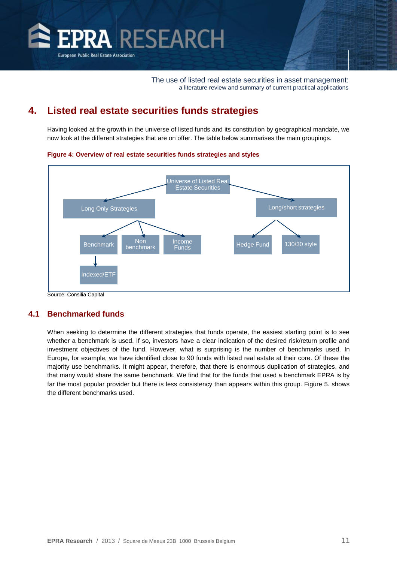<span id="page-11-0"></span>

# **4. Listed real estate securities funds strategies**

Having looked at the growth in the universe of listed funds and its constitution by geographical mandate, we now look at the different strategies that are on offer. The table below summarises the main groupings.

#### **Figure 4: Overview of real estate securities funds strategies and styles**



Source: Consilia Capital

#### **4.1 Benchmarked funds**

When seeking to determine the different strategies that funds operate, the easiest starting point is to see whether a benchmark is used. If so, investors have a clear indication of the desired risk/return profile and investment objectives of the fund. However, what is surprising is the number of benchmarks used. In Europe, for example, we have identified close to 90 funds with listed real estate at their core. Of these the majority use benchmarks. It might appear, therefore, that there is enormous duplication of strategies, and that many would share the same benchmark. We find that for the funds that used a benchmark EPRA is by far the most popular provider but there is less consistency than appears within this group. Figure 5. shows the different benchmarks used.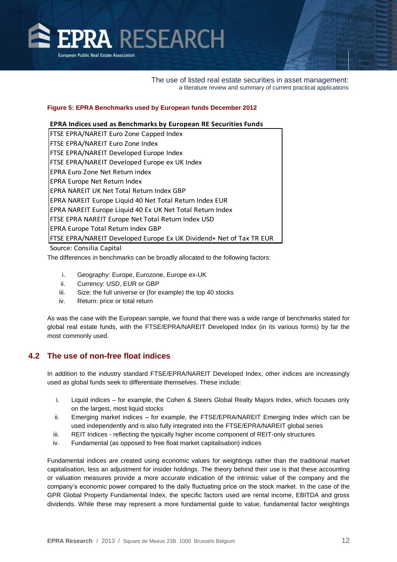

#### **Figure 5: EPRA Benchmarks used by European funds December 2012**

#### **EPRA Indices used as Benchmarks by European RE Securities Funds**

| FTSE EPRA/NAREIT Euro Zone Capped Index                             |
|---------------------------------------------------------------------|
| FTSE EPRA/NAREIT Euro Zone Index                                    |
| FTSE EPRA/NAREIT Developed Europe Index                             |
| FTSE EPRA/NAREIT Developed Europe ex UK Index                       |
| EPRA Euro Zone Net Return index                                     |
| EPRA Europe Net Return Index                                        |
| EPRA NAREIT UK Net Total Return Index GBP                           |
| EPRA NAREIT Europe Liquid 40 Net Total Return Index EUR             |
| EPRA NAREIT Europe Liquid 40 Ex UK Net Total Return Index           |
| FTSE EPRA NAREIT Europe Net Total Return Index USD                  |
| EPRA Europe Total Return Index GBP                                  |
| FTSE EPRA/NAREIT Developed Europe Ex UK Dividend+ Net of Tax TR EUR |
| Source: Consilia Capital                                            |

The differences in benchmarks can be broadly allocated to the following factors:

- i. Geography: Europe, Eurozone, Europe ex-UK
- ii. Currency: USD, EUR or GBP
- iii. Size: the full universe or (for example) the top 40 stocks
- iv. Return: price or total return

As was the case with the European sample, we found that there was a wide range of benchmarks stated for global real estate funds, with the FTSE/EPRA/NAREIT Developed Index (in its various forms) by far the most commonly used.

#### **4.2 The use of non-free float indices**

In addition to the industry standard FTSE/EPRA/NAREIT Developed Index, other indices are increasingly used as global funds seek to differentiate themselves. These include:

- i. Liquid indices for example, the Cohen & Steers Global Realty Majors Index, which focuses only on the largest, most liquid stocks
- ii. Emerging market indices for example, the FTSE/EPRA/NAREIT Emerging Index which can be used independently and is also fully integrated into the FTSE/EPRA/NAREIT global series
- iii. REIT Indices reflecting the typically higher income component of REIT-only structures
- iv. Fundamental (as opposed to free float market capitalisation) indices

Fundamental indices are created using economic values for weightings rather than the traditional market capitalisation, less an adjustment for insider holdings. The theory behind their use is that these accounting or valuation measures provide a more accurate indication of the intrinsic value of the company and the company's economic power compared to the daily fluctuating price on the stock market. In the case of the GPR Global Property Fundamental Index, the specific factors used are rental income, EBITDA and gross dividends. While these may represent a more fundamental guide to value, fundamental factor weightings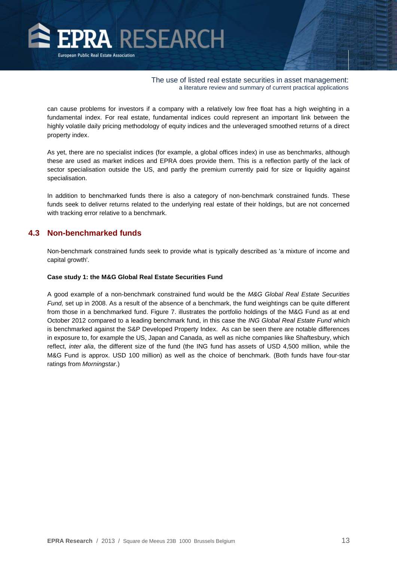

can cause problems for investors if a company with a relatively low free float has a high weighting in a fundamental index. For real estate, fundamental indices could represent an important link between the highly volatile daily pricing methodology of equity indices and the unleveraged smoothed returns of a direct property index.

As yet, there are no specialist indices (for example, a global offices index) in use as benchmarks, although these are used as market indices and EPRA does provide them. This is a reflection partly of the lack of sector specialisation outside the US, and partly the premium currently paid for size or liquidity against specialisation.

In addition to benchmarked funds there is also a category of non-benchmark constrained funds. These funds seek to deliver returns related to the underlying real estate of their holdings, but are not concerned with tracking error relative to a benchmark.

#### **4.3 Non-benchmarked funds**

Non-benchmark constrained funds seek to provide what is typically described as 'a mixture of income and capital growth'.

#### **Case study 1: the M&G Global Real Estate Securities Fund**

A good example of a non-benchmark constrained fund would be the *M&G Global Real Estate Securities Fund,* set up in 2008. As a result of the absence of a benchmark, the fund weightings can be quite different from those in a benchmarked fund. Figure 7. illustrates the portfolio holdings of the M&G Fund as at end October 2012 compared to a leading benchmark fund, in this case the *ING Global Real Estate Fund* which is benchmarked against the S&P Developed Property Index. As can be seen there are notable differences in exposure to, for example the US, Japan and Canada, as well as niche companies like Shaftesbury, which reflect, *inter alia*, the different size of the fund (the ING fund has assets of USD 4,500 million, while the M&G Fund is approx. USD 100 million) as well as the choice of benchmark. (Both funds have four-star ratings from *Morningstar*.)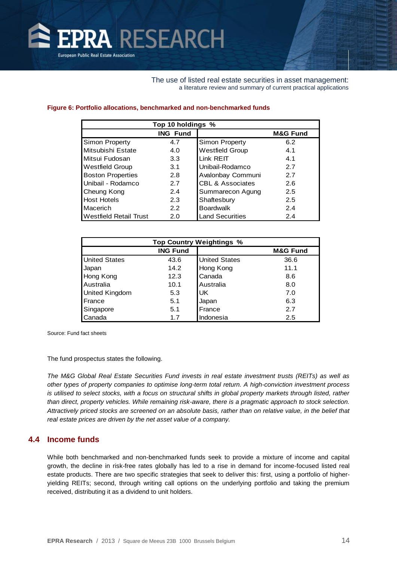

#### **Figure 6: Portfolio allocations, benchmarked and non-benchmarked funds**

| Top 10 holdings %             |                 |                             |                     |
|-------------------------------|-----------------|-----------------------------|---------------------|
|                               | <b>ING Fund</b> |                             | <b>M&amp;G Fund</b> |
| Simon Property                | 4.7             | Simon Property              | 6.2                 |
| Mitsubishi Estate             | 4.0             | <b>Westfield Group</b>      | 4.1                 |
| Mitsui Fudosan                | 3.3             | Link REIT                   | 4.1                 |
| <b>Westfield Group</b>        | 3.1             | Unibail-Rodamco             | 2.7                 |
| <b>Boston Properties</b>      | 2.8             | Avalonbay Communi           | 2.7                 |
| Unibail - Rodamco             | 2.7             | <b>CBL &amp; Associates</b> | 2.6                 |
| Cheung Kong                   | 2.4             | Summarecon Agung            | 2.5                 |
| <b>Host Hotels</b>            | 2.3             | Shaftesbury                 | 2.5                 |
| Macerich                      | 2.2             | <b>Boardwalk</b>            | 2.4                 |
| <b>Westfield Retail Trust</b> | 2.0             | <b>Land Securities</b>      | 2.4                 |

| <b>Top Country Weightings %</b> |                 |                      |                     |  |
|---------------------------------|-----------------|----------------------|---------------------|--|
|                                 | <b>ING Fund</b> |                      | <b>M&amp;G Fund</b> |  |
| <b>United States</b>            | 43.6            | <b>United States</b> | 36.6                |  |
| Japan                           | 14.2            | Hong Kong            | 11.1                |  |
| Hong Kong                       | 12.3            | Canada               | 8.6                 |  |
| Australia<br>10.1               |                 | Australia            | 8.0                 |  |
| <b>United Kingdom</b>           | 5.3             | UK                   | 7.0                 |  |
| France                          | 5.1             | Japan                | 6.3                 |  |
| Singapore<br>5.1                |                 | France               | 2.7                 |  |
| Canada                          | 1.7             | Indonesia            | 2.5                 |  |

Source: Fund fact sheets

The fund prospectus states the following.

*The M&G Global Real Estate Securities Fund invests in real estate investment trusts (REITs) as well as other types of property companies to optimise long-term total return. A high-conviction investment process is utilised to select stocks, with a focus on structural shifts in global property markets through listed, rather than direct, property vehicles. While remaining risk-aware, there is a pragmatic approach to stock selection. Attractively priced stocks are screened on an absolute basis, rather than on relative value, in the belief that real estate prices are driven by the net asset value of a company.*

#### **4.4 Income funds**

While both benchmarked and non-benchmarked funds seek to provide a mixture of income and capital growth, the decline in risk-free rates globally has led to a rise in demand for income-focused listed real estate products. There are two specific strategies that seek to deliver this: first, using a portfolio of higheryielding REITs; second, through writing call options on the underlying portfolio and taking the premium received, distributing it as a dividend to unit holders.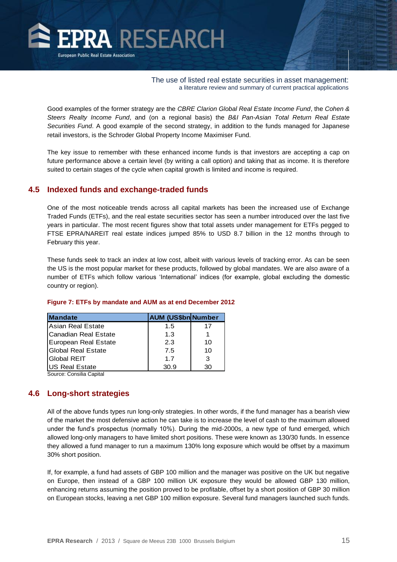

Good examples of the former strategy are the *CBRE Clarion Global Real Estate Income Fund*, the *Cohen & Steers Realty Income Fund*, and (on a regional basis) the *B&I Pan-Asian Total Return Real Estate Securities Fund*. A good example of the second strategy, in addition to the funds managed for Japanese retail investors, is the Schroder Global Property Income Maximiser Fund.

The key issue to remember with these enhanced income funds is that investors are accepting a cap on future performance above a certain level (by writing a call option) and taking that as income. It is therefore suited to certain stages of the cycle when capital growth is limited and income is required.

#### **4.5 Indexed funds and exchange-traded funds**

One of the most noticeable trends across all capital markets has been the increased use of Exchange Traded Funds (ETFs), and the real estate securities sector has seen a number introduced over the last five years in particular. The most recent figures show that total assets under management for ETFs pegged to FTSE EPRA/NAREIT real estate indices jumped 85% to USD 8.7 billion in the 12 months through to February this year.

These funds seek to track an index at low cost, albeit with various levels of tracking error. As can be seen the US is the most popular market for these products, followed by global mandates. We are also aware of a number of ETFs which follow various 'International' indices (for example, global excluding the domestic country or region).

| <b>Mandate</b>               | <b>AUM (US\$bn Number</b> |    |
|------------------------------|---------------------------|----|
| IAsian Real Estate           | 1.5                       | 17 |
| <b>ICanadian Real Estate</b> | 1.3                       |    |
| European Real Estate         | 2.3                       | 10 |
| <b>IGlobal Real Estate</b>   | 7.5                       | 10 |
| <b>IGlobal REIT</b>          | 17                        | 3  |
| <b>US Real Estate</b>        | 30.9                      | 30 |

#### **Figure 7: ETFs by mandate and AUM as at end December 2012**

Source: Consilia Capital

#### **4.6 Long-short strategies**

All of the above funds types run long-only strategies. In other words, if the fund manager has a bearish view of the market the most defensive action he can take is to increase the level of cash to the maximum allowed under the fund's prospectus (normally 10%). During the mid-2000s, a new type of fund emerged, which allowed long-only managers to have limited short positions. These were known as 130/30 funds. In essence they allowed a fund manager to run a maximum 130% long exposure which would be offset by a maximum 30% short position.

If, for example, a fund had assets of GBP 100 million and the manager was positive on the UK but negative on Europe, then instead of a GBP 100 million UK exposure they would be allowed GBP 130 million, enhancing returns assuming the position proved to be profitable, offset by a short position of GBP 30 million on European stocks, leaving a net GBP 100 million exposure. Several fund managers launched such funds.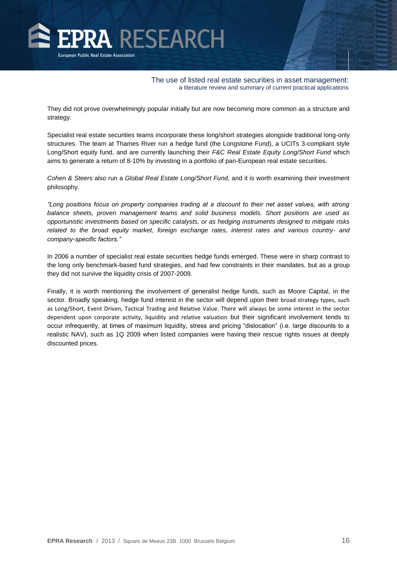

They did not prove overwhelmingly popular initially but are now becoming more common as a structure and strategy.

Specialist real estate securities teams incorporate these long/short strategies alongside traditional long-only structures. The team at Thames River run a hedge fund (the Longstone Fund), a UCITs 3-compliant style Long/Short equity fund, and are currently launching their *F&C Real Estate Equity Long/Short Fund* which aims to generate a return of 8-10% by investing in a portfolio of pan-European real estate securities.

*Cohen & Steers* also run a *Global Real Estate Long/Short Fund*, and it is worth examining their investment philosophy.

*"Long positions focus on property companies trading at a discount to their net asset values, with strong balance sheets, proven management teams and solid business models. Short positions are used as opportunistic investments based on specific catalysts, or as hedging instruments designed to mitigate risks related to the broad equity market, foreign exchange rates, interest rates and various country- and company-specific factors."*

In 2006 a number of specialist real estate securities hedge funds emerged. These were in sharp contrast to the long only benchmark-based fund strategies, and had few constraints in their mandates, but as a group they did not survive the liquidity crisis of 2007-2009.

Finally, it is worth mentioning the involvement of generalist hedge funds, such as Moore Capital, in the sector. Broadly speaking, hedge fund interest in the sector will depend upon their broad strategy types, such as Long/Short, Event Driven, Tactical Trading and Relative Value. There will always be some interest in the sector dependent upon corporate activity, liquidity and relative valuation but their significant involvement tends to occur infrequently, at times of maximum liquidity, stress and pricing "dislocation" (i.e. large discounts to a realistic NAV), such as 1Q 2009 when listed companies were having their rescue rights issues at deeply discounted prices.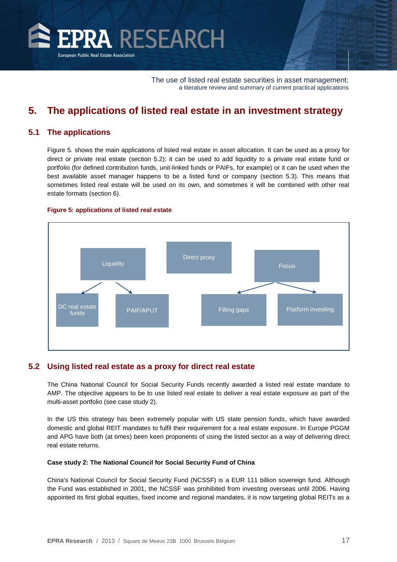<span id="page-17-0"></span>

# **5. The applications of listed real estate in an investment strategy**

#### **5.1 The applications**

Figure 5. shows the main applications of listed real estate in asset allocation. It can be used as a proxy for direct or private real estate (section 5.2); it can be used to add liquidity to a private real estate fund or portfolio (for defined contribution funds, unit-linked funds or PAIFs, for example) or it can be used when the best available asset manager happens to be a listed fund or company (section 5.3). This means that sometimes listed real estate will be used on its own, and sometimes it will be combined with other real estate formats (section 6).





#### **5.2 Using listed real estate as a proxy for direct real estate**

The China National Council for Social Security Funds recently awarded a listed real estate mandate to AMP. The objective appears to be to use listed real estate to deliver a real estate exposure as part of the multi-asset portfolio (see case study 2).

In the US this strategy has been extremely popular with US state pension funds, which have awarded domestic and global REIT mandates to fulfil their requirement for a real estate exposure. In Europe PGGM and APG have both (at times) been keen proponents of using the listed sector as a way of delivering direct real estate returns.

#### **Case study 2: The National Council for Social Security Fund of China**

China's National Council for Social Security Fund (NCSSF) is a EUR 111 billion sovereign fund. Although the Fund was established in 2001, the NCSSF was prohibited from investing overseas until 2006. Having appointed its first global equities, fixed income and regional mandates, it is now targeting global REITs as a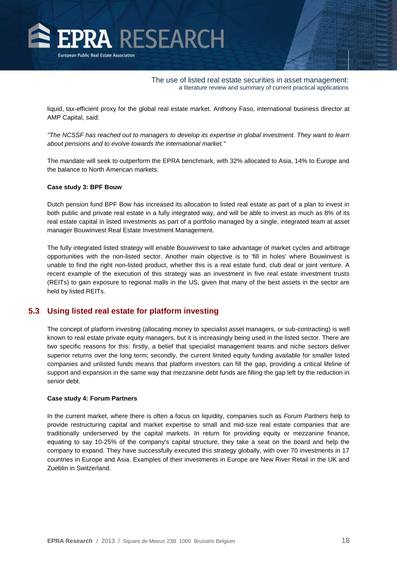

liquid, tax-efficient proxy for the global real estate market. Anthony Faso, international business director at AMP Capital, said:

*"The NCSSF has reached out to managers to develop its expertise in global investment. They want to learn about pensions and to evolve towards the international market."*

The mandate will seek to outperform the EPRA benchmark, with 32% allocated to Asia, 14% to Europe and the balance to North American markets.

#### **Case study 3: BPF Bouw**

Dutch pension fund BPF Bow has increased its allocation to listed real estate as part of a plan to invest in both public and private real estate in a fully integrated way, and will be able to invest as much as 8% of its real estate capital in listed investments as part of a portfolio managed by a single, integrated team at asset manager Bouwinvest Real Estate Investment Management.

The fully integrated listed strategy will enable Bouwinvest to take advantage of market cycles and arbitrage opportunities with the non-listed sector. Another main objective is to 'fill in holes' where Bouwinvest is unable to find the right non-listed product, whether this is a real estate fund, club deal or joint venture. A recent example of the execution of this strategy was an investment in five real estate investment trusts (REITs) to gain exposure to regional malls in the US, given that many of the best assets in the sector are held by listed REITs.

#### **5.3 Using listed real estate for platform investing**

The concept of platform investing (allocating money to specialist asset managers, or sub-contracting) is well known to real estate private equity managers, but it is increasingly being used in the listed sector. There are two specific reasons for this: firstly, a belief that specialist management teams and niche sectors deliver superior returns over the long term; secondly, the current limited equity funding available for smaller listed companies and unlisted funds means that platform investors can fill the gap, providing a critical lifeline of support and expansion in the same way that mezzanine debt funds are filling the gap left by the reduction in senior debt.

#### **Case study 4: Forum Partners**

In the current market, where there is often a focus on liquidity, companies such as *Forum Partners* help to provide restructuring capital and market expertise to small and mid-size real estate companies that are traditionally underserved by the capital markets. In return for providing equity or mezzanine finance, equating to say 10-25% of the company's capital structure, they take a seat on the board and help the company to expand. They have successfully executed this strategy globally, with over 70 investments in 17 countries in Europe and Asia. Examples of their investments in Europe are New River Retail in the UK and Zueblin in Switzerland.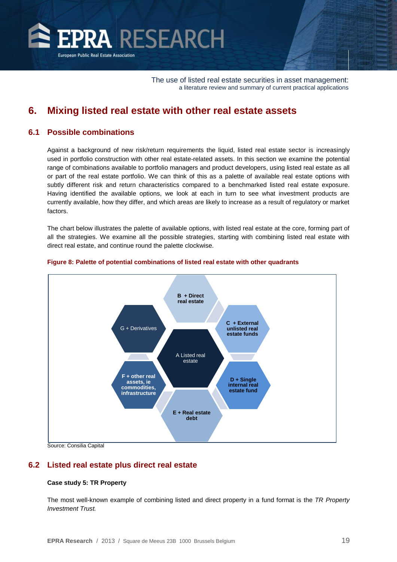<span id="page-19-0"></span>

# **6. Mixing listed real estate with other real estate assets**

#### **6.1 Possible combinations**

Against a background of new risk/return requirements the liquid, listed real estate sector is increasingly used in portfolio construction with other real estate-related assets. In this section we examine the potential range of combinations available to portfolio managers and product developers, using listed real estate as all or part of the real estate portfolio. We can think of this as a palette of available real estate options with subtly different risk and return characteristics compared to a benchmarked listed real estate exposure. Having identified the available options, we look at each in turn to see what investment products are currently available, how they differ, and which areas are likely to increase as a result of regulatory or market factors.

The chart below illustrates the palette of available options, with listed real estate at the core, forming part of all the strategies. We examine all the possible strategies, starting with combining listed real estate with direct real estate, and continue round the palette clockwise.



#### **Figure 8: Palette of potential combinations of listed real estate with other quadrants**

Source: Consilia Capital

#### **6.2 Listed real estate plus direct real estate**

#### **Case study 5: TR Property**

The most well-known example of combining listed and direct property in a fund format is the *TR Property Investment Trust.*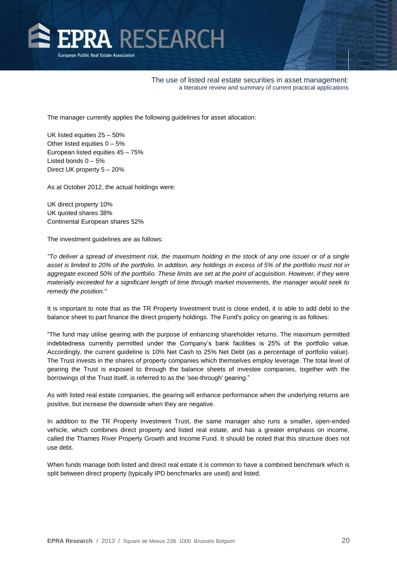

The manager currently applies the following guidelines for asset allocation:

UK listed equities 25 – 50% Other listed equities  $0 - 5%$ European listed equities 45 – 75% Listed bonds  $0 - 5%$ Direct UK property 5 – 20%

As at October 2012, the actual holdings were:

UK direct property 10% UK quoted shares 38% Continental European shares 52%

The investment guidelines are as follows:

*"To deliver a spread of investment risk, the maximum holding in the stock of any one issuer or of a single asset is limited to 20% of the portfolio. In addition, any holdings in excess of 5% of the portfolio must not in aggregate exceed 50% of the portfolio. These limits are set at the point of acquisition. However, if they were materially exceeded for a significant length of time through market movements, the manager would seek to remedy the position."*

It is important to note that as the TR Property Investment trust is close ended, it is able to add debt to the balance sheet to part finance the direct property holdings. The Fund's policy on gearing is as follows:

"The fund may utilise gearing with the purpose of enhancing shareholder returns. The maximum permitted indebtedness currently permitted under the Company's bank facilities is 25% of the portfolio value. Accordingly, the current guideline is 10% Net Cash to 25% Net Debt (as a percentage of portfolio value). The Trust invests in the shares of property companies which themselves employ leverage. The total level of gearing the Trust is exposed to through the balance sheets of investee companies, together with the borrowings of the Trust itself, is referred to as the 'see-through' gearing."

As with listed real estate companies, the gearing will enhance performance when the underlying returns are positive, but increase the downside when they are negative.

In addition to the TR Property Investment Trust, the same manager also runs a smaller, open-ended vehicle, which combines direct property and listed real estate, and has a greater emphasis on income, called the Thames River Property Growth and Income Fund. It should be noted that this structure does not use debt.

When funds manage both listed and direct real estate it is common to have a combined benchmark which is split between direct property (typically IPD benchmarks are used) and listed.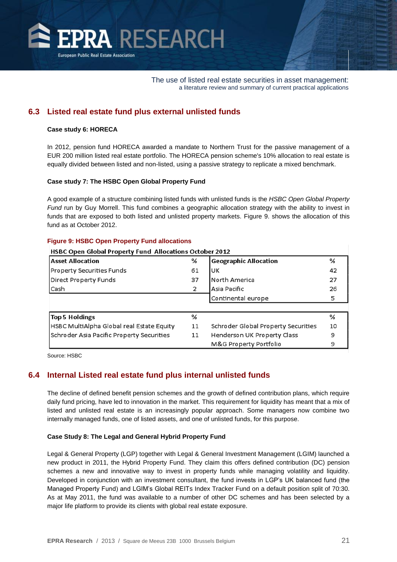

### **6.3 Listed real estate fund plus external unlisted funds**

#### **Case study 6: HORECA**

In 2012, pension fund HORECA awarded a mandate to Northern Trust for the passive management of a EUR 200 million listed real estate portfolio. The HORECA pension scheme's 10% allocation to real estate is equally divided between listed and non-listed, using a passive strategy to replicate a mixed benchmark.

#### **Case study 7: The HSBC Open Global Property Fund**

A good example of a structure combining listed funds with unlisted funds is the *HSBC Open Global Property Fund* run by Guy Morrell. This fund combines a geographic allocation strategy with the ability to invest in funds that are exposed to both listed and unlisted property markets. Figure 9. shows the allocation of this fund as at October 2012.

| HSBC Open Global Property Fund Allocations October 2012 |    |                                     |    |  |  |
|---------------------------------------------------------|----|-------------------------------------|----|--|--|
| <b>Asset Allocation</b>                                 | %  | <b>Geographic Allocation</b>        | %  |  |  |
| Property Securities Funds                               | 61 | UK                                  | 42 |  |  |
| Direct Property Funds                                   | 37 | North America                       | 27 |  |  |
| Cash                                                    | 2  | Asia Pacific                        | 26 |  |  |
|                                                         |    | Continental europe                  | 5  |  |  |
|                                                         |    |                                     |    |  |  |
| <b>Top 5 Holdings</b>                                   | ℅  |                                     | %  |  |  |
| HSBC MultiAlpha Global real Estate Equity               | 11 | Schroder Global Property Securities | 10 |  |  |
| Schroder Asia Pacific Property Securities               | 11 | Henderson UK Property Class         | 9  |  |  |
|                                                         |    | M&G Property Portfolio              | 9  |  |  |

#### **Figure 9: HSBC Open Property Fund allocations**

Source: HSBC

#### **6.4 Internal Listed real estate fund plus internal unlisted funds**

The decline of defined benefit pension schemes and the growth of defined contribution plans, which require daily fund pricing, have led to innovation in the market. This requirement for liquidity has meant that a mix of listed and unlisted real estate is an increasingly popular approach. Some managers now combine two internally managed funds, one of listed assets, and one of unlisted funds, for this purpose.

#### **Case Study 8: The Legal and General Hybrid Property Fund**

Legal & General Property (LGP) together with Legal & General Investment Management (LGIM) launched a new product in 2011, the Hybrid Property Fund. They claim this offers defined contribution (DC) pension schemes a new and innovative way to invest in property funds while managing volatility and liquidity. Developed in conjunction with an investment consultant, the fund invests in LGP's UK balanced fund (the Managed Property Fund) and LGIM's Global REITs Index Tracker Fund on a default position split of 70:30. As at May 2011, the fund was available to a number of other DC schemes and has been selected by a major life platform to provide its clients with global real estate exposure.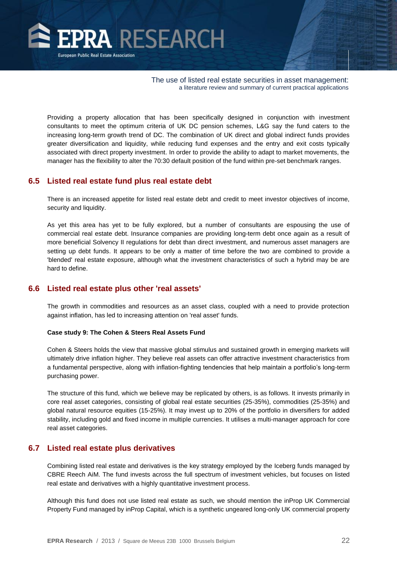

Providing a property allocation that has been specifically designed in conjunction with investment consultants to meet the optimum criteria of UK DC pension schemes, L&G say the fund caters to the increasing long-term growth trend of DC. The combination of UK direct and global indirect funds provides greater diversification and liquidity, while reducing fund expenses and the entry and exit costs typically associated with direct property investment. In order to provide the ability to adapt to market movements, the manager has the flexibility to alter the 70:30 default position of the fund within pre-set benchmark ranges.

#### **6.5 Listed real estate fund plus real estate debt**

There is an increased appetite for listed real estate debt and credit to meet investor objectives of income, security and liquidity.

As yet this area has yet to be fully explored, but a number of consultants are espousing the use of commercial real estate debt. Insurance companies are providing long-term debt once again as a result of more beneficial Solvency II regulations for debt than direct investment, and numerous asset managers are setting up debt funds. It appears to be only a matter of time before the two are combined to provide a 'blended' real estate exposure, although what the investment characteristics of such a hybrid may be are hard to define.

#### **6.6 Listed real estate plus other 'real assets'**

The growth in commodities and resources as an asset class, coupled with a need to provide protection against inflation, has led to increasing attention on 'real asset' funds.

#### **Case study 9: The Cohen & Steers Real Assets Fund**

Cohen & Steers holds the view that massive global stimulus and sustained growth in emerging markets will ultimately drive inflation higher. They believe real assets can offer attractive investment characteristics from a fundamental perspective, along with inflation-fighting tendencies that help maintain a portfolio's long-term purchasing power.

The structure of this fund, which we believe may be replicated by others, is as follows. It invests primarily in core real asset categories, consisting of global real estate securities (25-35%), commodities (25-35%) and global natural resource equities (15-25%). It may invest up to 20% of the portfolio in diversifiers for added stability, including gold and fixed income in multiple currencies. It utilises a multi-manager approach for core real asset categories.

#### **6.7 Listed real estate plus derivatives**

Combining listed real estate and derivatives is the key strategy employed by the Iceberg funds managed by CBRE Reech AiM. The fund invests across the full spectrum of investment vehicles, but focuses on listed real estate and derivatives with a highly quantitative investment process.

Although this fund does not use listed real estate as such, we should mention the inProp UK Commercial Property Fund managed by inProp Capital, which is a synthetic ungeared long-only UK commercial property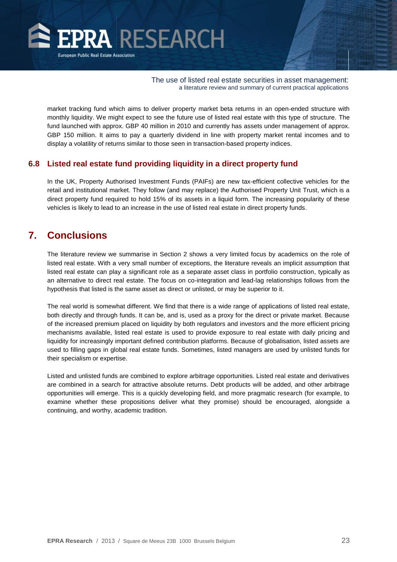<span id="page-23-0"></span>

market tracking fund which aims to deliver property market beta returns in an open-ended structure with monthly liquidity. We might expect to see the future use of listed real estate with this type of structure. The fund launched with approx. GBP 40 million in 2010 and currently has assets under management of approx. GBP 150 million. It aims to pay a quarterly dividend in line with property market rental incomes and to display a volatility of returns similar to those seen in transaction-based property indices.

#### **6.8 Listed real estate fund providing liquidity in a direct property fund**

In the UK, Property Authorised Investment Funds (PAIFs) are new tax-efficient collective vehicles for the retail and institutional market. They follow (and may replace) the Authorised Property Unit Trust, which is a direct property fund required to hold 15% of its assets in a liquid form. The increasing popularity of these vehicles is likely to lead to an increase in the use of listed real estate in direct property funds.

# **7. Conclusions**

The literature review we summarise in Section 2 shows a very limited focus by academics on the role of listed real estate. With a very small number of exceptions, the literature reveals an implicit assumption that listed real estate can play a significant role as a separate asset class in portfolio construction, typically as an alternative to direct real estate. The focus on co-integration and lead-lag relationships follows from the hypothesis that listed is the same asset as direct or unlisted, or may be superior to it.

The real world is somewhat different. We find that there is a wide range of applications of listed real estate, both directly and through funds. It can be, and is, used as a proxy for the direct or private market. Because of the increased premium placed on liquidity by both regulators and investors and the more efficient pricing mechanisms available, listed real estate is used to provide exposure to real estate with daily pricing and liquidity for increasingly important defined contribution platforms. Because of globalisation, listed assets are used to filling gaps in global real estate funds. Sometimes, listed managers are used by unlisted funds for their specialism or expertise.

Listed and unlisted funds are combined to explore arbitrage opportunities. Listed real estate and derivatives are combined in a search for attractive absolute returns. Debt products will be added, and other arbitrage opportunities will emerge. This is a quickly developing field, and more pragmatic research (for example, to examine whether these propositions deliver what they promise) should be encouraged, alongside a continuing, and worthy, academic tradition.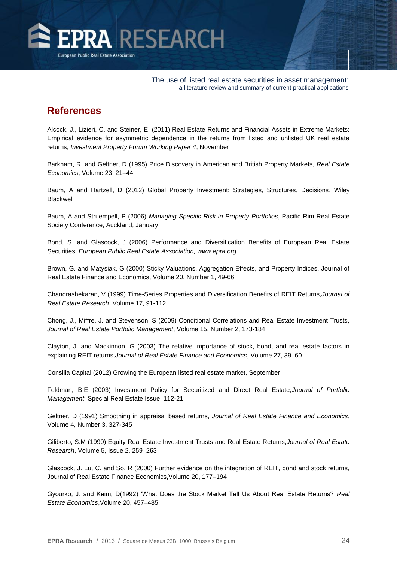<span id="page-24-0"></span>

# **References**

Alcock, J., Lizieri, C. and Steiner, E. (2011) Real Estate Returns and Financial Assets in Extreme Markets: Empirical evidence for asymmetric dependence in the returns from listed and unlisted UK real estate returns, *Investment Property Forum Working Paper 4*, November

Barkham, R. and Geltner, D (1995) Price Discovery in American and British Property Markets, *Real Estate Economics*, Volume 23, 21–44

Baum, A and Hartzell, D (2012) Global Property Investment: Strategies, Structures, Decisions, Wiley Blackwell

Baum, A and Struempell, P (2006) *Managing Specific Risk in Property Portfolios*, Pacific Rim Real Estate Society Conference, Auckland, January

Bond, S. and Glascock, J (2006) Performance and Diversification Benefits of European Real Estate Securities, *European Public Real Estate Association, [www.epra.org](http://www.epra.org/)*

Brown, G. and Matysiak, G (2000) Sticky Valuations, Aggregation Effects, and Property Indices, Journal of Real Estate Finance and Economics, Volume 20, Number 1, 49-66

Chandrashekaran, V (1999) Time-Series Properties and Diversification Benefits of REIT Returns,*Journal of Real Estate Research*, Volume 17, 91-112

Chong, J., Miffre, J. and Stevenson, S (2009) Conditional Correlations and Real Estate Investment Trusts, *Journal of Real Estate Portfolio Management*, Volume 15, Number 2, 173-184

Clayton, J. and Mackinnon, G (2003) The relative importance of stock, bond, and real estate factors in explaining REIT returns,*Journal of Real Estate Finance and Economics*, Volume 27, 39–60

Consilia Capital (2012) Growing the European listed real estate market, September

Feldman, B.E (2003) Investment Policy for Securitized and Direct Real Estate,*Journal of Portfolio Management*, Special Real Estate Issue, 112-21

Geltner, D (1991) Smoothing in appraisal based returns, *Journal of Real Estate Finance and Economics*, Volume 4, Number 3, 327-345

Giliberto, S.M (1990) Equity Real Estate Investment Trusts and Real Estate Returns,*Journal of Real Estate Research*, Volume 5, Issue 2, 259–263

Glascock, J. Lu, C. and So, R (2000) Further evidence on the integration of REIT, bond and stock returns, Journal of Real Estate Finance Economics,Volume 20, 177–194

Gyourko, J. and Keim, D(1992) 'What Does the Stock Market Tell Us About Real Estate Returns? *Real Estate Economics*,Volume 20, 457–485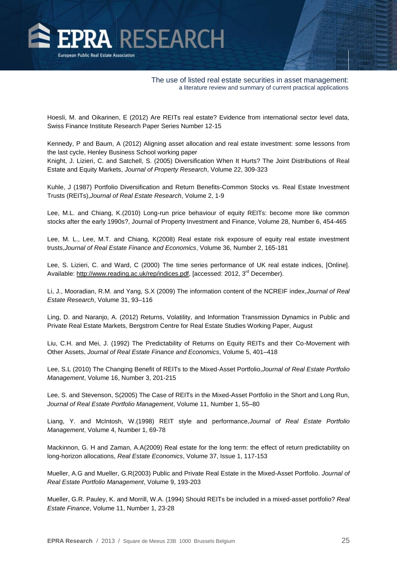

Hoesli, M. and Oikarinen, E (2012) Are REITs real estate? Evidence from international sector level data, Swiss Finance Institute Research Paper Series Number 12-15

Kennedy, P and Baum, A (2012) Aligning asset allocation and real estate investment: some lessons from the last cycle, Henley Business School working paper

Knight, J. Lizieri, C. and Satchell, S. (2005) Diversification When It Hurts? The Joint Distributions of Real Estate and Equity Markets, *Journal of Property Research*, Volume 22, 309-323

Kuhle, J (1987) Portfolio Diversification and Return Benefits-Common Stocks vs. Real Estate Investment Trusts (REITs),*Journal of Real Estate Research*, Volume 2, 1-9

Lee, M.L. and Chiang, K.(2010) Long-run price behaviour of equity REITs: become more like common stocks after the early 1990s?, Journal of Property Investment and Finance, Volume 28, Number 6, 454-465

Lee, M. L., Lee, M.T. and Chiang, K(2008) Real estate risk exposure of equity real estate investment trusts,*Journal of Real Estate Finance and Economics*, Volume 36, Number 2, 165-181

Lee, S. Lizieri, C. and Ward, C (2000) The time series performance of UK real estate indices, [Online]. Available[: http://www.reading.ac.uk/rep/indices.pdf,](http://www.reading.ac.uk/rep/indices.pdf) [accessed: 2012, 3<sup>rd</sup> December).

Li, J., Mooradian, R.M. and Yang, S.X (2009) The information content of the NCREIF index,*Journal of Real Estate Research*, Volume 31, 93–116

Ling, D. and Naranjo, A. (2012) Returns, Volatility, and Information Transmission Dynamics in Public and Private Real Estate Markets, Bergstrom Centre for Real Estate Studies Working Paper, August

Liu, C.H. and Mei, J. (1992) The Predictability of Returns on Equity REITs and their Co-Movement with Other Assets, *Journal of Real Estate Finance and Economics*, Volume 5, 401–418

Lee, S.L (2010) The Changing Benefit of REITs to the Mixed-Asset Portfolio,*Journal of Real Estate Portfolio Management*, Volume 16, Number 3, 201-215

Lee, S. and Stevenson, S(2005) The Case of REITs in the Mixed-Asset Portfolio in the Short and Long Run, *Journal of Real Estate Portfolio Management*, Volume 11, Number 1, 55–80

Liang, Y. and McIntosh, W.(1998) REIT style and performance*,Journal of Real Estate Portfolio Management*, Volume 4, Number 1, 69-78

Mackinnon, G. H and Zaman, A.A(2009) Real estate for the long term: the effect of return predictability on long-horizon allocations, *Real Estate Economics*, Volume 37, Issue 1, 117-153

Mueller, A.G and Mueller, G.R(2003) Public and Private Real Estate in the Mixed-Asset Portfolio. *Journal of Real Estate Portfolio Management*, Volume 9, 193-203

Mueller, G.R. Pauley, K. and Morrill, W.A. (1994) Should REITs be included in a mixed-asset portfolio? *Real Estate Finance*, Volume 11, Number 1, 23-28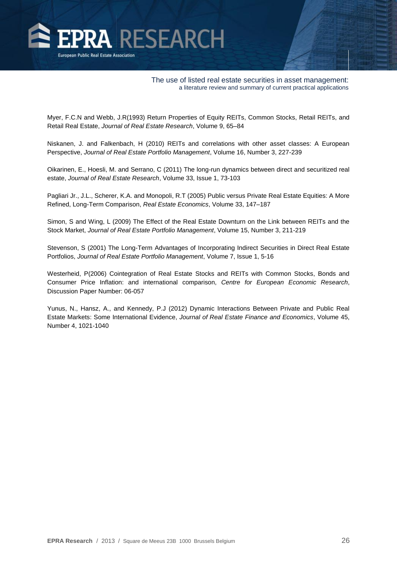

Myer, F.C.N and Webb, J.R(1993) Return Properties of Equity REITs, Common Stocks, Retail REITs, and Retail Real Estate, *Journal of Real Estate Research*, Volume 9, 65–84

Niskanen, J. and Falkenbach, H (2010) REITs and correlations with other asset classes: A European Perspective, *Journal of Real Estate Portfolio Management*, Volume 16, Number 3, 227-239

Oikarinen, E., Hoesli, M. and Serrano, C (2011) The long-run dynamics between direct and securitized real estate, *Journal of Real Estate Research*, Volume 33, Issue 1, 73-103

Pagliari Jr., J.L., Scherer, K.A. and Monopoli, R.T (2005) Public versus Private Real Estate Equities: A More Refined, Long-Term Comparison, *Real Estate Economics*, Volume 33, 147–187

Simon, S and Wing, L (2009) The Effect of the Real Estate Downturn on the Link between REITs and the Stock Market, *Journal of Real Estate Portfolio Management*, Volume 15, Number 3, 211-219

Stevenson, S (2001) The Long-Term Advantages of Incorporating Indirect Securities in Direct Real Estate Portfolios, *Journal of Real Estate Portfolio Management*, Volume 7, Issue 1, 5-16

Westerheid, P(2006) Cointegration of Real Estate Stocks and REITs with Common Stocks, Bonds and Consumer Price Inflation: and international comparison, *Centre for European Economic Research*, Discussion Paper Number: 06-057

Yunus, N., Hansz, A., and Kennedy, P.J (2012) Dynamic Interactions Between Private and Public Real Estate Markets: Some International Evidence, *Journal of Real Estate Finance and Economics*, Volume 45, Number 4, 1021-1040